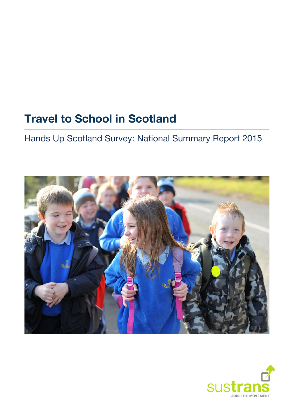# **Travel to School in Scotland**

Hands Up Scotland Survey: National Summary Report 2015



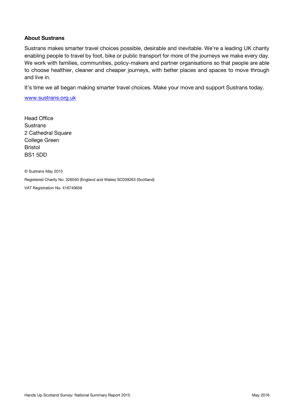#### **About Sustrans**

Sustrans makes smarter travel choices possible, desirable and inevitable. We're a leading UK charity enabling people to travel by foot, bike or public transport for more of the journeys we make every day. We work with families, communities, policy-makers and partner organisations so that people are able to choose healthier, cleaner and cheaper journeys, with better places and spaces to move through and live in.

It's time we all began making smarter travel choices. Make your move and support Sustrans today.

[www.sustrans.org.uk](file://///sus-ne1-fs2/Shared/RMU/03%20EYP/3.0%20Projects/81709%20Hands%20Up%20Scotland/Hands%20Up%20Scotland%202014/5.%20Reporting/1.%20Drafts/3.%20National%20Summary/www.sustrans.org.uk)

Head Office **Sustrans** 2 Cathedral Square College Green Bristol BS1 5DD

© Sustrans May 2015 Registered Charity No. 326550 (England and Wales) SC039263 (Scotland) VAT Registration No. 416740656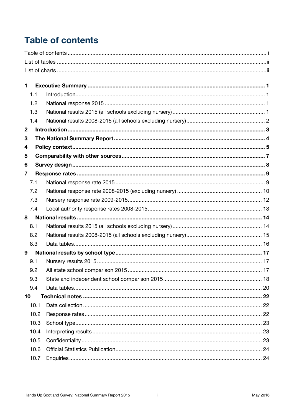## <span id="page-2-0"></span>**Table of contents**

| 1                       |      |  |  |  |  |  |  |  |
|-------------------------|------|--|--|--|--|--|--|--|
|                         | 1.1  |  |  |  |  |  |  |  |
|                         | 1.2  |  |  |  |  |  |  |  |
|                         | 1.3  |  |  |  |  |  |  |  |
|                         | 1.4  |  |  |  |  |  |  |  |
| $\mathbf 2$             |      |  |  |  |  |  |  |  |
| 3                       |      |  |  |  |  |  |  |  |
| 4                       |      |  |  |  |  |  |  |  |
| 5                       |      |  |  |  |  |  |  |  |
| 6                       |      |  |  |  |  |  |  |  |
| $\overline{\mathbf{7}}$ |      |  |  |  |  |  |  |  |
|                         | 7.1  |  |  |  |  |  |  |  |
|                         | 7.2  |  |  |  |  |  |  |  |
|                         | 7.3  |  |  |  |  |  |  |  |
|                         | 7.4  |  |  |  |  |  |  |  |
| 8                       |      |  |  |  |  |  |  |  |
|                         | 8.1  |  |  |  |  |  |  |  |
|                         | 8.2  |  |  |  |  |  |  |  |
|                         | 8.3  |  |  |  |  |  |  |  |
| 9                       |      |  |  |  |  |  |  |  |
|                         | 9.1  |  |  |  |  |  |  |  |
|                         | 9.2  |  |  |  |  |  |  |  |
|                         | 9.3  |  |  |  |  |  |  |  |
|                         | 9.4  |  |  |  |  |  |  |  |
| 10 <sub>1</sub>         |      |  |  |  |  |  |  |  |
|                         | 10.1 |  |  |  |  |  |  |  |
|                         | 10.2 |  |  |  |  |  |  |  |
|                         | 10.3 |  |  |  |  |  |  |  |
|                         | 10.4 |  |  |  |  |  |  |  |
|                         | 10.5 |  |  |  |  |  |  |  |
|                         | 10.6 |  |  |  |  |  |  |  |
|                         | 10.7 |  |  |  |  |  |  |  |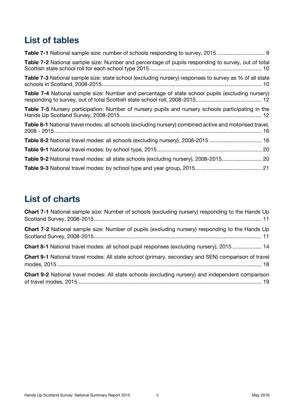## <span id="page-3-0"></span>**List of tables**

| Table 7-1 National sample size: number of schools responding to survey, 2015                                  |
|---------------------------------------------------------------------------------------------------------------|
| Table 7-2 National sample size: Number and percentage of pupils responding to survey, out of total            |
| <b>Table 7-3</b> National sample size: state school (excluding nursery) responses to survey as % of all state |
| Table 7-4 National sample size: Number and percentage of state school pupils (excluding nursery)              |
| <b>Table 7-5</b> Nursery participation: Number of nursery pupils and nursery schools participating in the     |
| Table 8-1 National travel modes: all schools (excluding nursery) combined active and motorised travel,        |
| Table 8-2 National travel modes: all schools (excluding nursery), 2008-2015  16                               |
|                                                                                                               |
| Table 9-2 National travel modes: all state schools (excluding nursery), 2008-2015 20                          |
|                                                                                                               |

## <span id="page-3-1"></span>**List of charts**

| <b>Chart 7-1</b> National sample size: Number of schools (excluding nursery) responding to the Hands Up |
|---------------------------------------------------------------------------------------------------------|
| Chart 7-2 National sample size: Number of pupils (excluding nursery) responding to the Hands Up         |
| <b>Chart 8-1</b> National travel modes: all school pupil responses (excluding nursery), 2015  14        |
| Chart 9-1 National travel modes: All state school (primary, secondary and SEN) comparison of travel     |
| Chart 9-2 National travel modes: All state schools (excluding nursery) and independent comparison       |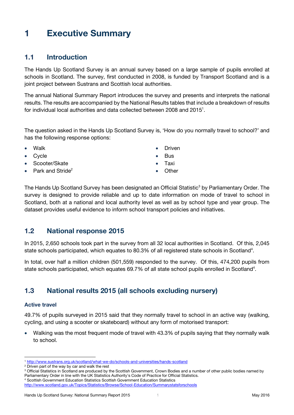## <span id="page-4-0"></span>**1 Executive Summary**

## <span id="page-4-1"></span>**1.1 Introduction**

The Hands Up Scotland Survey is an annual survey based on a large sample of pupils enrolled at schools in Scotland. The survey, first conducted in 2008, is funded by Transport Scotland and is a joint project between Sustrans and Scottish local authorities.

The annual National Summary Report introduces the survey and presents and interprets the national results. The results are accompanied by the National Results tables that include a breakdown of results for individual local authorities and data collected between 2008 and 2015<sup>1</sup>.

The question asked in the Hands Up Scotland Survey is, 'How do you normally travel to school?' and has the following response options:

- Walk
- **Cycle**
- Scooter/Skate
- Park and Stride<sup>2</sup>
- Driven
- Bus
- Taxi
- <span id="page-4-4"></span>**Other**

The Hands Up Scotland Survey has been designated an Official Statistic<sup>3</sup> by Parliamentary Order. The survey is designed to provide reliable and up to date information on mode of travel to school in Scotland, both at a national and local authority level as well as by school type and year group. The dataset provides useful evidence to inform school transport policies and initiatives.

## <span id="page-4-2"></span>**1.2 National response 2015**

In 2015, 2,650 schools took part in the survey from all 32 local authorities in Scotland. Of this, 2,045 state schools participate[d](#page-4-4), which equates to 80.3% of all registered state schools in Scotland<sup>4</sup>.

In total, over half a million children (501,559) responded to the survey. Of this, 474,200 pupils from state schools participated, which equates 69.7% of all state school pupils enrolled in Scotland<sup>4</sup>.

## <span id="page-4-3"></span>**1.3 National results 2015 (all schools excluding nursery)**

#### **Active travel**

 $\overline{a}$ 

49.7% of pupils surveyed in 2015 said that they normally travel to school in an active way (walking, cycling, and using a scooter or skateboard) without any form of motorised transport:

 Walking was the most frequent mode of travel with 43.3% of pupils saying that they normally walk to school.

<sup>1</sup> <http://www.sustrans.org.uk/scotland/what-we-do/schools-and-universities/hands-scotland>

<sup>2</sup> Driven part of the way by car and walk the rest

<sup>&</sup>lt;sup>3</sup> Official Statistics in Scotland are produced by the Scottish Government, Crown Bodies and a number of other public bodies named by Parliamentary Order in line with the UK Statistics Authority's Code of Practice for Official Statistics.

<sup>4</sup> Scottish Government Education Statistics Scottish Government Education Statistics

<http://www.scotland.gov.uk/Topics/Statistics/Browse/School-Education/Summarystatsforschools>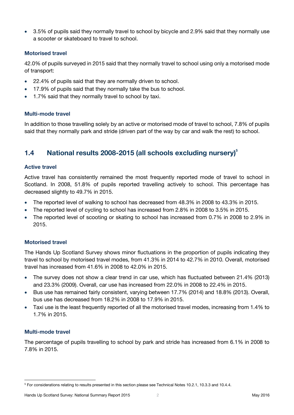3.5% of pupils said they normally travel to school by bicycle and 2.9% said that they normally use a scooter or skateboard to travel to school.

#### **Motorised travel**

42.0% of pupils surveyed in 2015 said that they normally travel to school using only a motorised mode of transport:

- 22.4% of pupils said that they are normally driven to school.
- 17.9% of pupils said that they normally take the bus to school.
- 1.7% said that they normally travel to school by taxi.

#### **Multi-mode travel**

In addition to those travelling solely by an active or motorised mode of travel to school, 7.8% of pupils said that they normally park and stride (driven part of the way by car and walk the rest) to school.

## <span id="page-5-0"></span>**1.4 National results 2008-2015 (all schools excluding nursery)<sup>5</sup>**

#### **Active travel**

Active travel has consistently remained the most frequently reported mode of travel to school in Scotland. In 2008, 51.8% of pupils reported travelling actively to school. This percentage has decreased slightly to 49.7% in 2015.

- The reported level of walking to school has decreased from 48.3% in 2008 to 43.3% in 2015.
- The reported level of cycling to school has increased from 2.8% in 2008 to 3.5% in 2015.
- The reported level of scooting or skating to school has increased from 0.7% in 2008 to 2.9% in 2015.

#### **Motorised travel**

The Hands Up Scotland Survey shows minor fluctuations in the proportion of pupils indicating they travel to school by motorised travel modes, from 41.3% in 2014 to 42.7% in 2010. Overall, motorised travel has increased from 41.6% in 2008 to 42.0% in 2015.

- The survey does not show a clear trend in car use, which has fluctuated between 21.4% (2013) and 23.3% (2009). Overall, car use has increased from 22.0% in 2008 to 22.4% in 2015.
- Bus use has remained fairly consistent, varying between 17.7% (2014) and 18.8% (2013). Overall, bus use has decreased from 18.2% in 2008 to 17.9% in 2015.
- Taxi use is the least frequently reported of all the motorised travel modes, increasing from 1.4% to 1.7% in 2015.

#### **Multi-mode travel**

The percentage of pupils travelling to school by park and stride has increased from 6.1% in 2008 to 7.8% in 2015.

 <sup>5</sup> For considerations relating to results presented in this section please see Technical Note[s 10.2.1,](#page-25-3) [10.3.3](#page-26-3) an[d 10.4.4.](#page-26-4)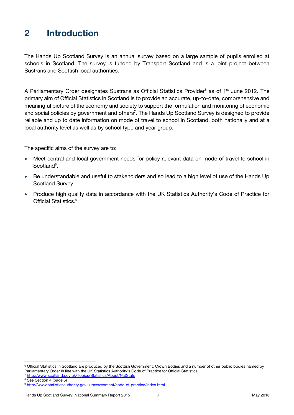## <span id="page-6-0"></span>**2 Introduction**

The Hands Up Scotland Survey is an annual survey based on a large sample of pupils enrolled at schools in Scotland. The survey is funded by Transport Scotland and is a joint project between Sustrans and Scottish local authorities.

A Parliamentary Order designates Sustrans as Official Statistics Provider<sup>6</sup> as of 1<sup>st</sup> June 2012. The primary aim of Official Statistics in Scotland is to provide an accurate, up-to-date, comprehensive and meaningful picture of the economy and society to support the formulation and monitoring of economic and social policies by government and others<sup>7</sup>. The Hands Up Scotland Survey is designed to provide reliable and up to date information on mode of travel to school in Scotland, both nationally and at a local authority level as well as by school type and year group.

The specific aims of the survey are to:

- Meet central and local government needs for policy relevant data on mode of travel to school in Scotland<sup>8</sup>.
- Be understandable and useful to stakeholders and so lead to a high level of use of the Hands Up Scotland Survey.
- Produce high quality data in accordance with the UK Statistics Authority's Code of Practice for Official Statistics. 9

 $\overline{a}$ 

<sup>&</sup>lt;sup>6</sup> Official Statistics in Scotland are produced by the Scottish Government, Crown Bodies and a number of other public bodies named by Parliamentary Order in line with the UK Statistics Authority's Code of Practice for Official Statistics.

<sup>7</sup> <http://www.scotland.gov.uk/Topics/Statistics/About/NatStats>

<sup>&</sup>lt;sup>8</sup> See Section [4](#page-8-0) (page [5\)](#page-8-0)

<sup>9</sup> <http://www.statisticsauthority.gov.uk/assessment/code-of-practice/index.html>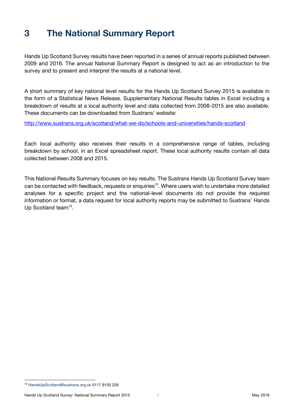## <span id="page-7-0"></span>**3 The National Summary Report**

Hands Up Scotland Survey results have been reported in a series of annual reports published between 2009 and 2016. The annual National Summary Report is designed to act as an introduction to the survey and to present and interpret the results at a national level.

A short summary of key national level results for the Hands Up Scotland Survey 2015 is available in the form of a Statistical News Release. Supplementary National Results tables in Excel including a breakdown of results at a local authority level and data collected from 2008-2015 are also available. These documents can be downloaded from Sustrans' website:

<http://www.sustrans.org.uk/scotland/what-we-do/schools-and-universities/hands-scotland>

Each local authority also receives their results in a comprehensive range of tables, including breakdown by school, in an Excel spreadsheet report. These local authority results contain all data collected between 2008 and 2015.

<span id="page-7-1"></span>This National Results Summary focuses on key results. The Sustrans Hands Up Scotland Survey team can be contacted with feedback, requests or enquiries<sup>10</sup>. Where users wish to undertake more detailed analyses for a specific project and the national-level documents do not provide the required information or format, a data request for local authority reports may be submitted to Sustrans' Hands Up Scotland team<sup>[10](#page-7-1)</sup>.

<sup>10</sup> [HandsUpScotland@sustrans.org.uk](mailto:HandsUpScotland@sustrans.org.uk) 0117 9150 226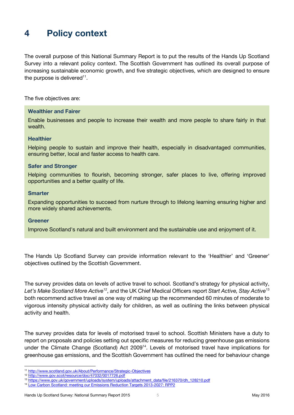## <span id="page-8-0"></span>**4 Policy context**

The overall purpose of this National Summary Report is to put the results of the Hands Up Scotland Survey into a relevant policy context. The Scottish Government has outlined its overall purpose of increasing sustainable economic growth, and five strategic objectives, which are designed to ensure the purpose is delivered $^{\rm 11}.$ 

The five objectives are:

#### **Wealthier and Fairer**

Enable businesses and people to increase their wealth and more people to share fairly in that wealth.

#### **Healthier**

Helping people to sustain and improve their health, especially in disadvantaged communities, ensuring better, local and faster access to health care.

#### **Safer and Stronger**

Helping communities to flourish, becoming stronger, safer places to live, offering improved opportunities and a better quality of life.

#### **Smarter**

Expanding opportunities to succeed from nurture through to lifelong learning ensuring higher and more widely shared achievements.

#### **Greener**

Improve Scotland's natural and built environment and the sustainable use and enjoyment of it.

The Hands Up Scotland Survey can provide information relevant to the 'Healthier' and 'Greener' objectives outlined by the Scottish Government.

The survey provides data on levels of active travel to school. Scotland's strategy for physical activity, *Let's Make Scotland More Active*<sup>12</sup>, and the UK Chief Medical Officers report *Start Active, Stay Active*<sup>13</sup> both recommend active travel as one way of making up the recommended 60 minutes of moderate to vigorous intensity physical activity daily for children, as well as outlining the links between physical activity and health.

The survey provides data for levels of motorised travel to school. Scottish Ministers have a duty to report on proposals and policies setting out specific measures for reducing greenhouse gas emissions under the Climate Change (Scotland) Act 2009<sup>14</sup>. Levels of motorised travel have implications for greenhouse gas emissions, and the Scottish Government has outlined the need for behaviour change

<sup>11</sup> <http://www.scotland.gov.uk/About/Performance/Strategic-Objectives>

<sup>12</sup> <http://www.gov.scot/resource/doc/47032/0017726.pdf>

<sup>13</sup> [https://www.gov.uk/government/uploads/system/uploads/attachment\\_data/file/216370/dh\\_128210.pdf](https://www.gov.uk/government/uploads/system/uploads/attachment_data/file/216370/dh_128210.pdf)

<sup>14</sup> [Low Carbon Scotland: meeting our Emissions Reduction Targets 2013-2027: RPP2](http://www.gov.scot/Topics/Environment/climatechange/scotlands-action/lowcarbon/meetingthetargets)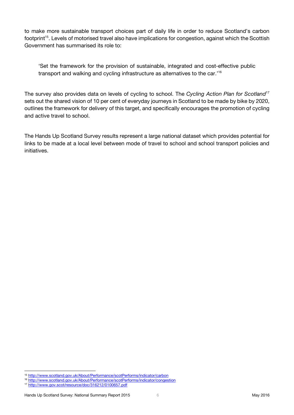to make more sustainable transport choices part of daily life in order to reduce Scotland's carbon footprint<sup>15</sup>. Levels of motorised travel also have implications for congestion, against which the Scottish Government has summarised its role to:

'Set the framework for the provision of sustainable, integrated and cost-effective public transport and walking and cycling infrastructure as alternatives to the car.'<sup>16</sup>

The survey also provides data on levels of cycling to school. The *Cycling Action Plan for Scotland*<sup>17</sup> sets out the shared vision of 10 per cent of everyday journeys in Scotland to be made by bike by 2020, outlines the framework for delivery of this target, and specifically encourages the promotion of cycling and active travel to school.

The Hands Up Scotland Survey results represent a large national dataset which provides potential for links to be made at a local level between mode of travel to school and school transport policies and initiatives.

<sup>15</sup> <http://www.scotland.gov.uk/About/Performance/scotPerforms/indicator/carbon>

<sup>16</sup> <http://www.scotland.gov.uk/About/Performance/scotPerforms/indicator/congestion>

<sup>17</sup> <http://www.gov.scot/resource/doc/316212/0100657.pdf>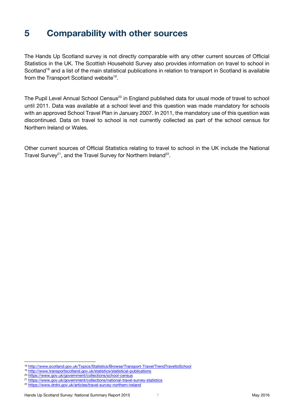## <span id="page-10-0"></span>**5 Comparability with other sources**

The Hands Up Scotland survey is not directly comparable with any other current sources of Official Statistics in the UK. The Scottish Household Survey also provides information on travel to school in Scotland<sup>18</sup> and a list of the main statistical publications in relation to transport in Scotland is available from the Transport Scotland website<sup>19</sup>.

The Pupil Level Annual School Census<sup>20</sup> in England published data for usual mode of travel to school until 2011. Data was available at a school level and this question was made mandatory for schools with an approved School Travel Plan in January 2007. In 2011, the mandatory use of this question was discontinued. Data on travel to school is not currently collected as part of the school census for Northern Ireland or Wales.

Other current sources of Official Statistics relating to travel to school in the UK include the National Travel Survey<sup>21</sup>, and the Travel Survey for Northern Ireland<sup>22</sup>.

 $\overline{a}$ 

<sup>18</sup> <http://www.scotland.gov.uk/Topics/Statistics/Browse/Transport-Travel/TrendTraveltoSchool>

<sup>19</sup> <http://www.transportscotland.gov.uk/statistics/statistical-publications>

<sup>20</sup> <https://www.gov.uk/government/collections/school-census>

<sup>21</sup> <https://www.gov.uk/government/collections/national-travel-survey-statistics>

<sup>22</sup> <https://www.drdni.gov.uk/articles/travel-survey-northern-ireland>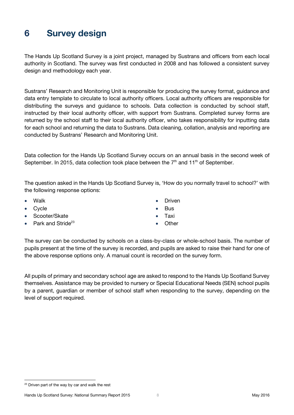## <span id="page-11-0"></span>**6 Survey design**

The Hands Up Scotland Survey is a joint project, managed by Sustrans and officers from each local authority in Scotland. The survey was first conducted in 2008 and has followed a consistent survey design and methodology each year.

Sustrans' Research and Monitoring Unit is responsible for producing the survey format, guidance and data entry template to circulate to local authority officers. Local authority officers are responsible for distributing the surveys and guidance to schools. Data collection is conducted by school staff, instructed by their local authority officer, with support from Sustrans. Completed survey forms are returned by the school staff to their local authority officer, who takes responsibility for inputting data for each school and returning the data to Sustrans. Data cleaning, collation, analysis and reporting are conducted by Sustrans' Research and Monitoring Unit.

Data collection for the Hands Up Scotland Survey occurs on an annual basis in the second week of September. In 2015, data collection took place between the  $7<sup>th</sup>$  and 11<sup>th</sup> of September.

The question asked in the Hands Up Scotland Survey is, 'How do you normally travel to school?' with the following response options:

- Walk
- Cycle
- Scooter/Skate
- Park and Stride<sup>23</sup>
- Driven
- Bus
- Taxi
- **Other**

The survey can be conducted by schools on a class-by-class or whole-school basis. The number of pupils present at the time of the survey is recorded, and pupils are asked to raise their hand for one of the above response options only. A manual count is recorded on the survey form.

All pupils of primary and secondary school age are asked to respond to the Hands Up Scotland Survey themselves. Assistance may be provided to nursery or Special Educational Needs (SEN) school pupils by a parent, guardian or member of school staff when responding to the survey, depending on the level of support required.

 <sup>23</sup> Driven part of the way by car and walk the rest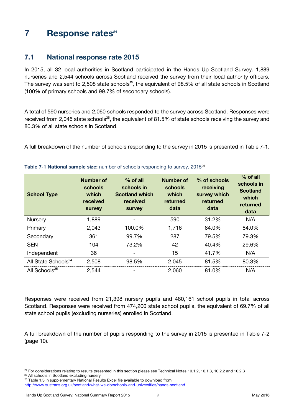## <span id="page-12-0"></span>**7 Response rates 24**

## <span id="page-12-1"></span>**7.1 National response rate 2015**

<span id="page-12-3"></span>In 2015, all 32 local authorities in Scotland participated in the Hands Up Scotland Survey. 1,889 nurseries and 2,544 schools across Scotland received the survey from their local authority officers. The survey was sent to 2,508 state schools**<sup>25</sup>**, the equivalent of 98.5% of all state schools in Scotland (100% of primary schools and 99.7% of secondary schools).

A total of 590 nurseries and 2,060 schools responded to the survey across Scotland. Responses were received from 2,045 state schools<sup>[25](#page-12-3)</sup>, the equivalent of 81.5% of state schools receiving the survey and 80.3% of all state schools in Scotland.

A full breakdown of the number of schools responding to the survey in 2015 is presented in [Table 7-1.](#page-12-2)

| <b>School Type</b>              | Number of<br>schools<br>which<br>received<br><b>Survey</b> | $%$ of all<br>schools in<br><b>Scotland which</b><br>received<br><b>Survey</b> | Number of<br>schools<br>which<br>returned<br>data | % of schools<br>receiving<br>survey which<br>returned<br>data | $%$ of all<br>schools in<br><b>Scotland</b><br>which<br>returned<br>data |
|---------------------------------|------------------------------------------------------------|--------------------------------------------------------------------------------|---------------------------------------------------|---------------------------------------------------------------|--------------------------------------------------------------------------|
| Nursery                         | 1,889                                                      |                                                                                | 590                                               | 31.2%                                                         | N/A                                                                      |
| Primary                         | 2,043                                                      | 100.0%                                                                         | 1,716                                             | 84.0%                                                         | 84.0%                                                                    |
| Secondary                       | 361                                                        | 99.7%                                                                          | 287                                               | 79.5%                                                         | 79.3%                                                                    |
| <b>SEN</b>                      | 104                                                        | 73.2%                                                                          | 42                                                | 40.4%                                                         | 29.6%                                                                    |
| Independent                     | 36                                                         | $\overline{\phantom{a}}$                                                       | 15                                                | 41.7%                                                         | N/A                                                                      |
| All State Schools <sup>24</sup> | 2,508                                                      | 98.5%                                                                          | 2,045                                             | 81.5%                                                         | 80.3%                                                                    |
| All Schools <sup>25</sup>       | 2,544                                                      | $\overline{\phantom{a}}$                                                       | 2,060                                             | 81.0%                                                         | N/A                                                                      |

#### <span id="page-12-2"></span>**Table 7-1 National sample size:** number of schools responding to survey, 2015 26

Responses were received from 21,398 nursery pupils and 480,161 school pupils in total across Scotland. Responses were received from 474,200 state school pupils, the equivalent of 69.7% of all state school pupils (excluding nurseries) enrolled in Scotland.

A full breakdown of the number of pupils responding to the survey in 2015 is presented in [Table 7-2](#page-13-1) (page [10\)](#page-13-1).

<sup>&</sup>lt;sup>24</sup> For considerations relating to results presented in this section please see Technical Notes [10.1.2,](#page-25-4) [10.1.3,](#page-25-5) [10.2.2](#page-25-6) an[d 10.2.3](#page-25-7)

<sup>&</sup>lt;sup>25</sup> All schools in Scotland excluding nursery

<sup>26</sup> Table 1.3 in supplementary National Results Excel file available to download from

<http://www.sustrans.org.uk/scotland/what-we-do/schools-and-universities/hands-scotland>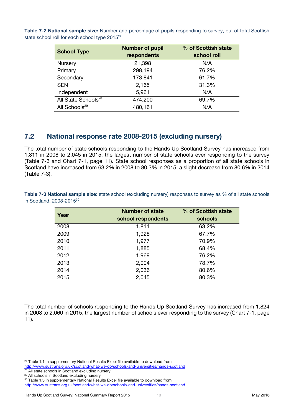| <b>School Type</b>              | <b>Number of pupil</b><br>respondents | % of Scottish state<br>school roll |  |  |
|---------------------------------|---------------------------------------|------------------------------------|--|--|
| Nursery                         | 21,398                                | N/A                                |  |  |
| Primary                         | 298,194                               | 76.2%                              |  |  |
| Secondary                       | 173,841                               | 61.7%                              |  |  |
| <b>SEN</b>                      | 2,165                                 | 31.3%                              |  |  |
| Independent                     | 5,961                                 | N/A                                |  |  |
| All State Schools <sup>28</sup> | 474,200                               | 69.7%                              |  |  |
| All Schools <sup>29</sup>       | 480,161                               | \I/A                               |  |  |

<span id="page-13-1"></span>**Table 7-2 National sample size:** Number and percentage of pupils responding to survey, out of total Scottish state school roll for each school type 2015<sup>27</sup>

## <span id="page-13-0"></span>**7.2 National response rate 2008-2015 (excluding nursery)**

The total number of state schools responding to the Hands Up Scotland Survey has increased from 1,811 in 2008 to 2,045 in 2015, the largest number of state schools ever responding to the survey [\(Table 7-3](#page-13-2) and [Chart 7-1,](#page-14-0) page [11\)](#page-14-0). State school responses as a proportion of all state schools in Scotland have increased from 63.2% in 2008 to 80.3% in 2015, a slight decrease from 80.6% in 2014 [\(Table 7-3\)](#page-13-2).

<span id="page-13-2"></span>**Table 7-3 National sample size:** state school (excluding nursery) responses to survey as % of all state schools in Scotland, 2008-2015<sup>30</sup>

| Year | <b>Number of state</b><br>school respondents | % of Scottish state<br>schools |
|------|----------------------------------------------|--------------------------------|
| 2008 | 1,811                                        | 63.2%                          |
| 2009 | 1,928                                        | 67.7%                          |
| 2010 | 1,977                                        | 70.9%                          |
| 2011 | 1,885                                        | 68.4%                          |
| 2012 | 1,969                                        | 76.2%                          |
| 2013 | 2,004                                        | 78.7%                          |
| 2014 | 2,036                                        | 80.6%                          |
| 2015 | 2,045                                        | 80.3%                          |

The total number of schools responding to the Hands Up Scotland Survey has increased from 1,824 in 2008 to 2,060 in 2015, the largest number of schools ever responding to the survey [\(Chart 7-1,](#page-14-0) page [11\)](#page-14-0).

 $\overline{a}$ 

<sup>&</sup>lt;sup>27</sup> Table 1.1 in supplementary National Results Excel file available to download from <http://www.sustrans.org.uk/scotland/what-we-do/schools-and-universities/hands-scotland>

<sup>&</sup>lt;sup>28</sup> All state schools in Scotland excluding nursery <sup>29</sup> All schools in Scotland excluding nursery

<sup>30</sup> Table 1.3 in supplementary National Results Excel file available to download from <http://www.sustrans.org.uk/scotland/what-we-do/schools-and-universities/hands-scotland>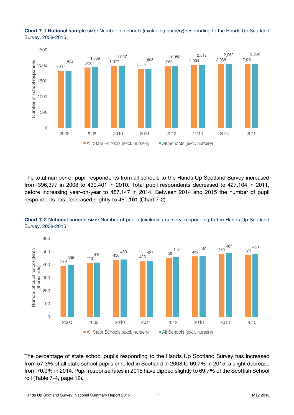<span id="page-14-0"></span>



The total number of pupil respondents from all schools to the Hands Up Scotland Survey increased from 396,377 in 2008 to 439,401 in 2010. Total pupil respondents decreased to 427,104 in 2011, before increasing year-on-year to 487,147 in 2014. Between 2014 and 2015 the number of pupil respondents has decreased slightly to 480,161 [\(Chart 7-2\)](#page-14-1).

![](_page_14_Figure_3.jpeg)

<span id="page-14-1"></span>**Chart 7-2 National sample size:** Number of pupils (excluding nursery) responding to the Hands Up Scotland Survey, 2008-2015

The percentage of state school pupils responding to the Hands Up Scotland Survey has increased from 57.3% of all state school pupils enrolled in Scotland in 2008 to 69.7% in 2015, a slight decrease from 70.9% in 2014. Pupil response rates in 2015 have dipped slightly to 69.7% of the Scottish School roll [\(Table 7-4,](#page-15-1) page [12\)](#page-15-1).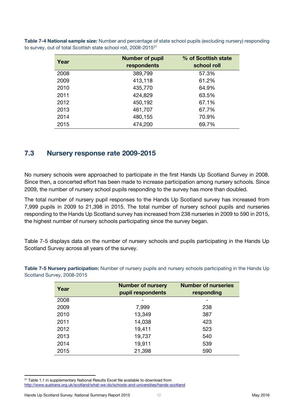| Year | <b>Number of pupil</b><br>respondents | % of Scottish state<br>school roll |
|------|---------------------------------------|------------------------------------|
| 2008 | 389,799                               | 57.3%                              |
| 2009 | 413,118                               | 61.2%                              |
| 2010 | 435,770                               | 64.9%                              |
| 2011 | 424,829                               | 63.5%                              |
| 2012 | 450,192                               | 67.1%                              |
| 2013 | 461,707                               | 67.7%                              |
| 2014 | 480,155                               | 70.9%                              |
| 2015 | 474,200                               | 69.7%                              |

<span id="page-15-1"></span>**Table 7-4 National sample size:** Number and percentage of state school pupils (excluding nursery) responding to survey, out of total Scottish state school roll, 2008-2015<sup>31</sup>

### <span id="page-15-0"></span>**7.3 Nursery response rate 2009-2015**

No nursery schools were approached to participate in the first Hands Up Scotland Survey in 2008. Since then, a concerted effort has been made to increase participation among nursery schools. Since 2009, the number of nursery school pupils responding to the survey has more than doubled.

The total number of nursery pupil responses to the Hands Up Scotland survey has increased from 7,999 pupils in 2009 to 21,398 in 2015. The total number of nursery school pupils and nurseries responding to the Hands Up Scotland survey has increased from 238 nurseries in 2009 to 590 in 2015, the highest number of nursery schools participating since the survey began.

[Table 7-5](#page-15-2) displays data on the number of nursery schools and pupils participating in the Hands Up Scotland Survey across all years of the survey.

| Year | <b>Number of nursery</b><br>pupil respondents | <b>Number of nurseries</b><br>responding |
|------|-----------------------------------------------|------------------------------------------|
| 2008 |                                               |                                          |
| 2009 | 7,999                                         | 238                                      |
| 2010 | 13,349                                        | 387                                      |
| 2011 | 14,038                                        | 423                                      |
| 2012 | 19,411                                        | 523                                      |
| 2013 | 19,737                                        | 540                                      |
| 2014 | 19,911                                        | 539                                      |
| 2015 | 21,398                                        | 590                                      |

<span id="page-15-2"></span>**Table 7-5 Nursery participation:** Number of nursery pupils and nursery schools participating in the Hands Up Scotland Survey, 2008-2015

<sup>31</sup> Table 1.1 in supplementary National Results Excel file available to download from <http://www.sustrans.org.uk/scotland/what-we-do/schools-and-universities/hands-scotland>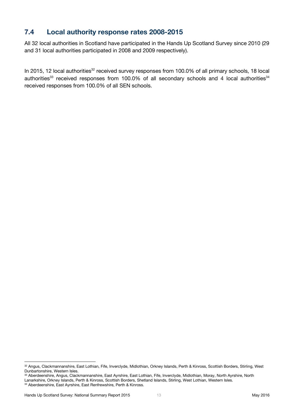## <span id="page-16-0"></span>**7.4 Local authority response rates 2008-2015**

All 32 local authorities in Scotland have participated in the Hands Up Scotland Survey since 2010 (29 and 31 local authorities participated in 2008 and 2009 respectively).

In 2015, 12 local authorities<sup>32</sup> received survey responses from 100.0% of all primary schools, 18 local authorities<sup>33</sup> received responses from 100.0% of all secondary schools and 4 local authorities<sup>34</sup> received responses from 100.0% of all SEN schools.

 $\overline{a}$ 32 Angus, Clackmannanshire, East Lothian, Fife, Inverclyde, Midlothian, Orkney Islands, Perth & Kinross, Scottish Borders, Stirling, West Dunbartonshire, Western Isles.

<sup>33</sup> Aberdeenshire, Angus, Clackmannanshire, East Ayrshire, East Lothian, Fife, Inverclyde, Midlothian, Moray, North Ayrshire, North Lanarkshire, Orkney Islands, Perth & Kinross, Scottish Borders, Shetland Islands, Stirling, West Lothian, Western Isles.

<sup>34</sup> Aberdeenshire, East Ayrshire, East Renfrewshire, Perth & Kinross.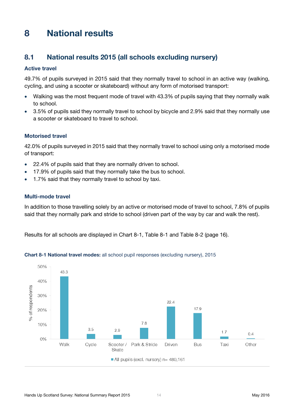## <span id="page-17-0"></span>**8 National results**

## <span id="page-17-1"></span>**8.1 National results 2015 (all schools excluding nursery)**

#### **Active travel**

49.7% of pupils surveyed in 2015 said that they normally travel to school in an active way (walking, cycling, and using a scooter or skateboard) without any form of motorised transport:

- Walking was the most frequent mode of travel with 43.3% of pupils saying that they normally walk to school.
- 3.5% of pupils said they normally travel to school by bicycle and 2.9% said that they normally use a scooter or skateboard to travel to school.

#### **Motorised travel**

42.0% of pupils surveyed in 2015 said that they normally travel to school using only a motorised mode of transport:

- 22.4% of pupils said that they are normally driven to school.
- 17.9% of pupils said that they normally take the bus to school.
- 1.7% said that they normally travel to school by taxi.

#### **Multi-mode travel**

In addition to those travelling solely by an active or motorised mode of travel to school, 7.8% of pupils said that they normally park and stride to school (driven part of the way by car and walk the rest).

Results for all schools are displayed in [Chart 8-1,](#page-17-2) [Table 8-1](#page-19-1) and [Table 8-2](#page-19-2) (page [16\)](#page-19-2).

![](_page_17_Figure_14.jpeg)

<span id="page-17-2"></span>**Chart 8-1 National travel modes:** all school pupil responses (excluding nursery), 2015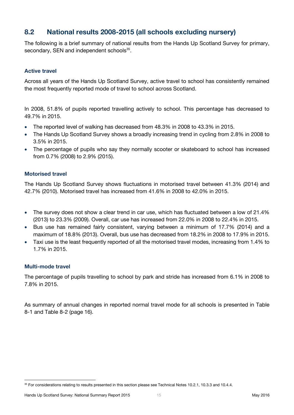## <span id="page-18-0"></span>**8.2 National results 2008-2015 (all schools excluding nursery)**

The following is a brief summary of national results from the Hands Up Scotland Survey for primary, secondary, SEN and independent schools<sup>35</sup>.

#### **Active travel**

Across all years of the Hands Up Scotland Survey, active travel to school has consistently remained the most frequently reported mode of travel to school across Scotland.

In 2008, 51.8% of pupils reported travelling actively to school. This percentage has decreased to 49.7% in 2015.

- The reported level of walking has decreased from 48.3% in 2008 to 43.3% in 2015.
- The Hands Up Scotland Survey shows a broadly increasing trend in cycling from 2.8% in 2008 to 3.5% in 2015.
- The percentage of pupils who say they normally scooter or skateboard to school has increased from 0.7% (2008) to 2.9% (2015).

#### **Motorised travel**

The Hands Up Scotland Survey shows fluctuations in motorised travel between 41.3% (2014) and 42.7% (2010). Motorised travel has increased from 41.6% in 2008 to 42.0% in 2015.

- The survey does not show a clear trend in car use, which has fluctuated between a low of 21.4% (2013) to 23.3% (2009). Overall, car use has increased from 22.0% in 2008 to 22.4% in 2015.
- Bus use has remained fairly consistent, varying between a minimum of 17.7% (2014) and a maximum of 18.8% (2013). Overall, bus use has decreased from 18.2% in 2008 to 17.9% in 2015.
- Taxi use is the least frequently reported of all the motorised travel modes, increasing from 1.4% to 1.7% in 2015.

#### **Multi-mode travel**

The percentage of pupils travelling to school by park and stride has increased from 6.1% in 2008 to 7.8% in 2015.

As summary of annual changes in reported normal travel mode for all schools is presented in [Table](#page-19-1)  [8-1](#page-19-1) and [Table 8-2](#page-19-2) (page [16\)](#page-19-2).

 <sup>35</sup> For considerations relating to results presented in this section please see Technical Notes [10.2.1,](#page-25-3) [10.3.3](#page-26-3) and [10.4.4.](#page-26-4)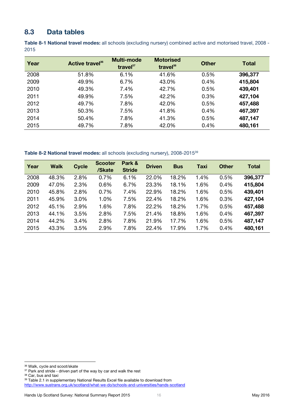### <span id="page-19-0"></span>**8.3 Data tables**

<span id="page-19-1"></span>**Table 8-1 National travel modes:** all schools (excluding nursery) combined active and motorised travel, 2008 - 2015

| Year | Active travel <sup>36</sup> | <b>Multi-mode</b><br>travel $37$ | <b>Motorised</b><br>travel $38$ | <b>Other</b> | <b>Total</b> |
|------|-----------------------------|----------------------------------|---------------------------------|--------------|--------------|
| 2008 | 51.8%                       | 6.1%                             | 41.6%                           | 0.5%         | 396,377      |
| 2009 | 49.9%                       | 6.7%                             | 43.0%                           | 0.4%         | 415,804      |
| 2010 | 49.3%                       | 7.4%                             | 42.7%                           | 0.5%         | 439,401      |
| 2011 | 49.9%                       | 7.5%                             | 42.2%                           | 0.3%         | 427,104      |
| 2012 | 49.7%                       | 7.8%                             | 42.0%                           | 0.5%         | 457,488      |
| 2013 | 50.3%                       | 7.5%                             | 41.8%                           | 0.4%         | 467,397      |
| 2014 | 50.4%                       | 7.8%                             | 41.3%                           | 0.5%         | 487,147      |
| 2015 | 49.7%                       | 7.8%                             | 42.0%                           | 0.4%         | 480,161      |

<span id="page-19-2"></span>**Table 8-2 National travel modes:** all schools (excluding nursery), 2008-2015<sup>39</sup>

| Year | <b>Walk</b> | <b>Cycle</b> | <b>Scooter</b><br>/Skate | Park &<br><b>Stride</b> | <b>Driven</b> | <b>Bus</b> | <b>Taxi</b> | <b>Other</b> | <b>Total</b> |
|------|-------------|--------------|--------------------------|-------------------------|---------------|------------|-------------|--------------|--------------|
| 2008 | 48.3%       | 2.8%         | 0.7%                     | 6.1%                    | 22.0%         | 18.2%      | 1.4%        | 0.5%         | 396,377      |
| 2009 | 47.0%       | 2.3%         | 0.6%                     | 6.7%                    | 23.3%         | 18.1%      | 1.6%        | 0.4%         | 415,804      |
| 2010 | 45.8%       | 2.8%         | 0.7%                     | 7.4%                    | 22.9%         | 18.2%      | 1.6%        | 0.5%         | 439,401      |
| 2011 | 45.9%       | 3.0%         | 1.0%                     | 7.5%                    | 22.4%         | 18.2%      | 1.6%        | 0.3%         | 427,104      |
| 2012 | 45.1%       | 2.9%         | 1.6%                     | 7.8%                    | 22.2%         | 18.2%      | 1.7%        | 0.5%         | 457,488      |
| 2013 | 44.1%       | 3.5%         | 2.8%                     | 7.5%                    | 21.4%         | 18.8%      | 1.6%        | 0.4%         | 467,397      |
| 2014 | 44.2%       | 3.4%         | 2.8%                     | 7.8%                    | 21.9%         | 17.7%      | 1.6%        | 0.5%         | 487,147      |
| 2015 | 43.3%       | 3.5%         | 2.9%                     | 7.8%                    | 22.4%         | 17.9%      | 1.7%        | 0.4%         | 480,161      |

 $\overline{a}$ 

<sup>36</sup> Walk, cycle and scoot/skate

<sup>&</sup>lt;sup>37</sup> Park and stride - driven part of the way by car and walk the rest

<sup>&</sup>lt;sup>38</sup> Car, bus and taxi

<sup>39</sup> Table 2.1 in supplementary National Results Excel file available to download from

<http://www.sustrans.org.uk/scotland/what-we-do/schools-and-universities/hands-scotland>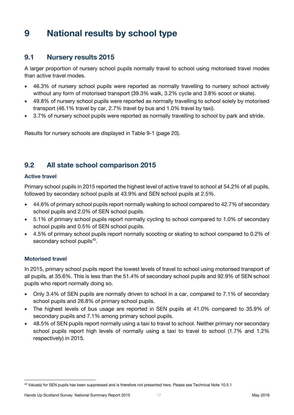## <span id="page-20-0"></span>**9 National results by school type**

## <span id="page-20-1"></span>**9.1 Nursery results 2015**

A larger proportion of nursery school pupils normally travel to school using motorised travel modes than active travel modes.

- 46.3% of nursery school pupils were reported as normally travelling to nursery school actively without any form of motorised transport (39.3% walk, 3.2% cycle and 3.8% scoot or skate).
- 49.8% of nursery school pupils were reported as normally travelling to school solely by motorised transport (46.1% travel by car, 2.7% travel by bus and 1.0% travel by taxi).
- 3.7% of nursery school pupils were reported as normally travelling to school by park and stride.

Results for nursery schools are displayed in [Table 9-1](#page-23-1) (page [20\)](#page-23-1).

## <span id="page-20-2"></span>**9.2 All state school comparison 2015**

#### **Active travel**

Primary school pupils in 2015 reported the highest level of active travel to school at 54.2% of all pupils, followed by secondary school pupils at 43.9% and SEN school pupils at 2.5%.

- 44.6% of primary school pupils report normally walking to school compared to 42.7% of secondary school pupils and 2.0% of SEN school pupils.
- 5.1% of primary school pupils report normally cycling to school compared to 1.0% of secondary school pupils and 0.5% of SEN school pupils.
- 4.5% of primary school pupils report normally scooting or skating to school compared to 0.2% of secondary school pupils<sup>40</sup>.

#### **Motorised travel**

In 2015, primary school pupils report the lowest levels of travel to school using motorised transport of all pupils, at 35.6%. This is less than the 51.4% of secondary school pupils and 92.9% of SEN school pupils who report normally doing so.

- Only 3.4% of SEN pupils are normally driven to school in a car, compared to 7.1% of secondary school pupils and 26.8% of primary school pupils.
- The highest levels of bus usage are reported in SEN pupils at 41.0% compared to 35.9% of secondary pupils and 7.1% among primary school pupils.
- 48.5% of SEN pupils report normally using a taxi to travel to school. Neither primary nor secondary school pupils report high levels of normally using a taxi to travel to school (1.7% and 1.2% respectively) in 2015.

 <sup>40</sup> Value(s) for SEN pupils has been suppressed and is therefore not presented here. Please see Technical Note [10.5.1](#page-26-5)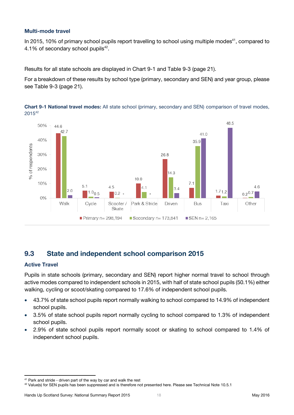#### **Multi-mode travel**

In 2015, 10% of primary school pupils report travelling to school using multiple modes<sup>41</sup>, compared to 4.1% of secondary school pupils<sup>[42](#page-21-2)</sup>.

Results for all state schools are displayed in [Chart 9-1](#page-21-1) and [Table 9-3](#page-24-0) (page [21\)](#page-24-0).

For a breakdown of these results by school type (primary, secondary and SEN) and year group, please see [Table 9-3](#page-24-0) (page [21\)](#page-24-0).

![](_page_21_Figure_4.jpeg)

<span id="page-21-2"></span><span id="page-21-1"></span>**Chart 9-1 National travel modes:** All state school (primary, secondary and SEN) comparison of travel modes, 2015 42

## <span id="page-21-0"></span>**9.3 State and independent school comparison 2015**

#### **Active Travel**

Pupils in state schools (primary, secondary and SEN) report higher normal travel to school through active modes compared to independent schools in 2015, with half of state school pupils (50.1%) either walking, cycling or scoot/skating compared to 17.6% of independent school pupils.

- 43.7% of state school pupils report normally walking to school compared to 14.9% of independent school pupils.
- 3.5% of state school pupils report normally cycling to school compared to 1.3% of independent school pupils.
- 2.9% of state school pupils report normally scoot or skating to school compared to 1.4% of independent school pupils.

 <sup>41</sup> Park and stride - driven part of the way by car and walk the rest

<sup>42</sup> Value(s) for SEN pupils has been suppressed and is therefore not presented here. Please see Technical Note [10.5.1](#page-26-5)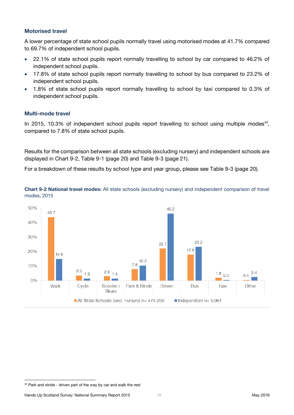#### **Motorised travel**

A lower percentage of state school pupils normally travel using motorised modes at 41.7% compared to 69.7% of independent school pupils.

- 22.1% of state school pupils report normally travelling to school by car compared to 46.2% of independent school pupils.
- 17.8% of state school pupils report normally travelling to school by bus compared to 23.2% of independent school pupils.
- 1.8% of state school pupils report normally travelling to school by taxi compared to 0.3% of independent school pupils.

#### **Multi-mode travel**

In 2015, 10.3% of independent school pupils report travelling to school using multiple modes<sup>43</sup>, compared to 7.8% of state school pupils.

Results for the comparison between all state schools (excluding nursery) and independent schools are displayed in [Chart 9-2,](#page-22-0) [Table 9-1](#page-23-1) (page [20\)](#page-23-1) and [Table 9-3](#page-24-0) (page [21\)](#page-24-0).

For a breakdown of these results by school type and year group, please see [Table 9-3](#page-24-0) (page [20\)](#page-23-3).

<span id="page-22-0"></span>**Chart 9-2 National travel modes:** All state schools (excluding nursery) and independent comparison of travel modes, 2015

![](_page_22_Figure_10.jpeg)

Hands Up Scotland Survey: National Summary Report 2015 19 19 May 2016 19 May 2016

<sup>43</sup> Park and stride - driven part of the way by car and walk the rest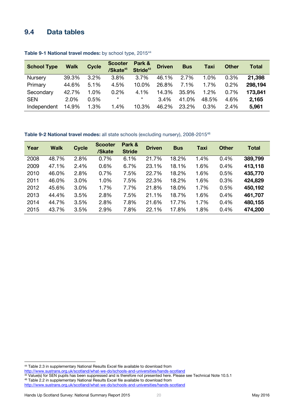### <span id="page-23-0"></span>**9.4 Data tables**

| <b>School Type</b> | <b>Walk</b> | <b>Cycle</b> | <b>Scooter</b><br>/Skate <sup>45</sup> | Park &<br>Stride <sup>43</sup> | <b>Driven</b> | <b>Bus</b> | <b>Taxi</b> | <b>Other</b> | Total   |
|--------------------|-------------|--------------|----------------------------------------|--------------------------------|---------------|------------|-------------|--------------|---------|
| Nursery            | 39.3%       | 3.2%         | 3.8%                                   | 3.7%                           | 46.1%         | 2.7%       | 1.0%        | 0.3%         | 21,398  |
| Primary            | 44.6%       | 5.1%         | 4.5%                                   | 10.0%                          | 26.8%         | 7.1%       | 1.7%        | $0.2\%$      | 298,194 |
| Secondary          | 42.7%       | 1.0%         | 0.2%                                   | 4.1%                           | 14.3%         | 35.9%      | 1.2%        | 0.7%         | 173,841 |
| <b>SEN</b>         | $2.0\%$     | 0.5%         | $\star$                                | $\star$                        | 3.4%          | 41.0%      | 48.5%       | 4.6%         | 2,165   |
| Independent        | 14.9%       | 1.3%         | 1.4%                                   | 10.3%                          | 46.2%         | 23.2%      | 0.3%        | 2.4%         | 5,961   |

#### <span id="page-23-3"></span><span id="page-23-1"></span>**Table 9-1 National travel modes:** by school type, 2015<sup>44</sup>

#### <span id="page-23-2"></span>**Table 9-2 National travel modes:** all state schools (excluding nursery), 2008-2015<sup>46</sup>

| Year | <b>Walk</b> | <b>Cycle</b> | <b>Scooter</b><br>/Skate | Park &<br><b>Stride</b> | <b>Driven</b> | <b>Bus</b> | <b>Taxi</b> | <b>Other</b> | <b>Total</b> |
|------|-------------|--------------|--------------------------|-------------------------|---------------|------------|-------------|--------------|--------------|
| 2008 | 48.7%       | 2.8%         | 0.7%                     | 6.1%                    | 21.7%         | 18.2%      | 1.4%        | 0.4%         | 389,799      |
| 2009 | 47.1%       | 2.4%         | 0.6%                     | 6.7%                    | 23.1%         | 18.1%      | 1.6%        | 0.4%         | 413,118      |
| 2010 | 46.0%       | 2.8%         | 0.7%                     | 7.5%                    | 22.7%         | 18.2%      | 1.6%        | 0.5%         | 435,770      |
| 2011 | 46.0%       | 3.0%         | 1.0%                     | 7.5%                    | 22.3%         | 18.2%      | 1.6%        | 0.3%         | 424,829      |
| 2012 | 45.6%       | 3.0%         | 1.7%                     | 7.7%                    | 21.8%         | 18.0%      | 1.7%        | 0.5%         | 450,192      |
| 2013 | 44.4%       | 3.5%         | 2.8%                     | 7.5%                    | 21.1%         | 18.7%      | 1.6%        | 0.4%         | 461,707      |
| 2014 | 44.7%       | 3.5%         | 2.8%                     | 7.8%                    | 21.6%         | 17.7%      | 1.7%        | 0.4%         | 480,155      |
| 2015 | 43.7%       | 3.5%         | 2.9%                     | 7.8%                    | 22.1%         | 17.8%      | 1.8%        | 0.4%         | 474,200      |

 $\overline{a}$ 

<sup>&</sup>lt;sup>44</sup> Table 2.3 in supplementary National Results Excel file available to download from

<http://www.sustrans.org.uk/scotland/what-we-do/schools-and-universities/hands-scotland>

<sup>&</sup>lt;sup>45</sup> Value(s) for SEN pupils has been suppressed and is therefore not presented here. Please see Technical Not[e 10.5.1](#page-26-5)

<sup>46</sup> Table 2.2 in supplementary National Results Excel file available to download from

<http://www.sustrans.org.uk/scotland/what-we-do/schools-and-universities/hands-scotland>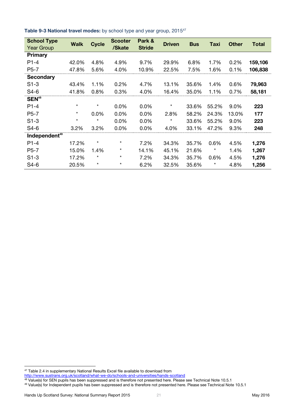<span id="page-24-0"></span>

| Table 9-3 National travel modes: by school type and year group, 2015 <sup>47</sup> |  |  |  |  |  |
|------------------------------------------------------------------------------------|--|--|--|--|--|
|------------------------------------------------------------------------------------|--|--|--|--|--|

| <b>School Type</b><br><b>Year Group</b> | <b>Walk</b> | <b>Cycle</b> | <b>Scooter</b><br>/Skate | Park &<br><b>Stride</b> | <b>Driven</b> | <b>Bus</b> | Taxi     | <b>Other</b> | <b>Total</b> |
|-----------------------------------------|-------------|--------------|--------------------------|-------------------------|---------------|------------|----------|--------------|--------------|
| <b>Primary</b>                          |             |              |                          |                         |               |            |          |              |              |
| $P1-4$                                  | 42.0%       | 4.8%         | 4.9%                     | 9.7%                    | 29.9%         | 6.8%       | 1.7%     | 0.2%         | 159,106      |
| $P5-7$                                  | 47.8%       | 5.6%         | 4.0%                     | 10.9%                   | 22.5%         | 7.5%       | 1.6%     | 0.1%         | 106,838      |
| <b>Secondary</b>                        |             |              |                          |                         |               |            |          |              |              |
| $S1-3$                                  | 43.4%       | 1.1%         | 0.2%                     | 4.7%                    | 13.1%         | 35.6%      | 1.4%     | 0.6%         | 79,963       |
| $S4-6$                                  | 41.8%       | 0.8%         | 0.3%                     | 4.0%                    | 16.4%         | 35.0%      | 1.1%     | 0.7%         | 58,181       |
| SEN <sup>48</sup>                       |             |              |                          |                         |               |            |          |              |              |
| $P1-4$                                  | $^\star$    | $\star$      | $0.0\%$                  | 0.0%                    | $\star$       | 33.6%      | 55.2%    | 9.0%         | 223          |
| $P5-7$                                  | $^\star$    | 0.0%         | 0.0%                     | 0.0%                    | 2.8%          | 58.2%      | 24.3%    | 13.0%        | 177          |
| $S1-3$                                  | $^\star$    | $\star$      | 0.0%                     | 0.0%                    | $^\star$      | 33.6%      | 55.2%    | 9.0%         | 223          |
| $S4-6$                                  | 3.2%        | 3.2%         | 0.0%                     | 0.0%                    | 4.0%          | 33.1%      | 47.2%    | 9.3%         | 248          |
| Independent <sup>49</sup>               |             |              |                          |                         |               |            |          |              |              |
| $P1-4$                                  | 17.2%       | $\star$      | $^\star$                 | 7.2%                    | 34.3%         | 35.7%      | 0.6%     | 4.5%         | 1,276        |
| $P5-7$                                  | 15.0%       | 1.4%         | $^\star$                 | 14.1%                   | 45.1%         | 21.6%      | $^\star$ | 1.4%         | 1,267        |
| $S1-3$                                  | 17.2%       | $^\star$     | $^{\star}$               | 7.2%                    | 34.3%         | 35.7%      | 0.6%     | 4.5%         | 1,276        |
| S4-6                                    | 20.5%       | $\star$      | $^\star$                 | 6.2%                    | 32.5%         | 35.6%      | $\star$  | 4.8%         | 1,256        |

 $47$  Table 2.4 in supplementary National Results Excel file available to download from

<http://www.sustrans.org.uk/scotland/what-we-do/schools-and-universities/hands-scotland>

<sup>&</sup>lt;sup>48</sup> Value(s) for SEN pupils has been suppressed and is therefore not presented here. Please see Technical Not[e 10.5.1](#page-26-5)

<sup>49</sup> Value(s) for Independent pupils has been suppressed and is therefore not presented here. Please see Technical Not[e 10.5.1](#page-26-5)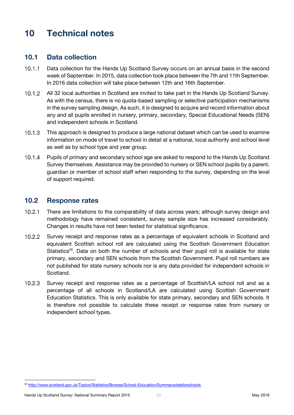## <span id="page-25-0"></span>**10 Technical notes**

### <span id="page-25-1"></span>**10.1 Data collection**

- $10.1.1$ Data collection for the Hands Up Scotland Survey occurs on an annual basis in the second week of September. In 2015, data collection took place between the 7th and 11th September. In 2016 data collection will take place between 12th and 16th September.
- <span id="page-25-4"></span> $10.1.2$ All 32 local authorities in Scotland are invited to take part in the Hands Up Scotland Survey. As with the census, there is no quota-based sampling or selective participation mechanisms in the survey sampling design. As such, it is designed to acquire and record information about any and all pupils enrolled in nursery, primary, secondary, Special Educational Needs (SEN) and independent schools in Scotland.
- <span id="page-25-5"></span> $10.1.3$ This approach is designed to produce a large national dataset which can be used to examine information on mode of travel to school in detail at a national, local authority and school level as well as by school type and year group.
- $10.1.4$ Pupils of primary and secondary school age are asked to respond to the Hands Up Scotland Survey themselves. Assistance may be provided to nursery or SEN school pupils by a parent, guardian or member of school staff when responding to the survey, depending on the level of support required.

### <span id="page-25-2"></span>**10.2 Response rates**

- <span id="page-25-3"></span> $10.2.1$ There are limitations to the comparability of data across years; although survey design and methodology have remained consistent, survey sample size has increased considerably. Changes in results have not been tested for statistical significance.
- <span id="page-25-6"></span> $10.2.2$ Survey receipt and response rates as a percentage of equivalent schools in Scotland and equivalent Scottish school roll are calculated using the Scottish Government Education Statistics<sup>50</sup>. Data on both the number of schools and their pupil roll is available for state primary, secondary and SEN schools from the Scottish Government. Pupil roll numbers are not published for state nursery schools nor is any data provided for independent schools in Scotland.
- <span id="page-25-7"></span> $10.2.3$ Survey receipt and response rates as a percentage of Scottish/LA school roll and as a percentage of all schools in Scotland/LA are calculated using Scottish Government Education Statistics. This is only available for state primary, secondary and SEN schools. It is therefore not possible to calculate these receipt or response rates from nursery or independent school types.

<sup>50</sup> <http://www.scotland.gov.uk/Topics/Statistics/Browse/School-Education/Summarystatsforschools>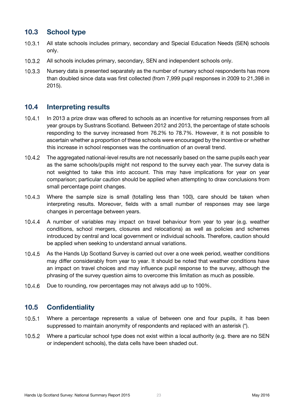## <span id="page-26-0"></span>**10.3 School type**

- $10.3.1$ All state schools includes primary, secondary and Special Education Needs (SEN) schools only.
- $10.3.2$ All schools includes primary, secondary, SEN and independent schools only.
- <span id="page-26-3"></span> $10.3.3$ Nursery data is presented separately as the number of nursery school respondents has more than doubled since data was first collected (from 7,999 pupil responses in 2009 to 21,398 in 2015).

### <span id="page-26-1"></span>**10.4 Interpreting results**

- $10.4.1$ In 2013 a prize draw was offered to schools as an incentive for returning responses from all year groups by Sustrans Scotland. Between 2012 and 2013, the percentage of state schools responding to the survey increased from 76.2% to 78.7%. However, it is not possible to ascertain whether a proportion of these schools were encouraged by the incentive or whether this increase in school responses was the continuation of an overall trend.
- $10.4.2$ The aggregated national-level results are not necessarily based on the same pupils each year as the same schools/pupils might not respond to the survey each year. The survey data is not weighted to take this into account. This may have implications for year on year comparison; particular caution should be applied when attempting to draw conclusions from small percentage point changes.
- $10.4.3$ Where the sample size is small (totalling less than 100), care should be taken when interpreting results. Moreover, fields with a small number of responses may see large changes in percentage between years.
- <span id="page-26-4"></span> $10.4.4$ A number of variables may impact on travel behaviour from year to year (e.g. weather conditions, school mergers, closures and relocations) as well as policies and schemes introduced by central and local government or individual schools. Therefore, caution should be applied when seeking to understand annual variations.
- $10.4.5$ As the Hands Up Scotland Survey is carried out over a one week period, weather conditions may differ considerably from year to year. It should be noted that weather conditions have an impact on travel choices and may influence pupil response to the survey, although the phrasing of the survey question aims to overcome this limitation as much as possible.
- 10.4.6 Due to rounding, row percentages may not always add up to 100%.

## <span id="page-26-2"></span>**10.5 Confidentiality**

- <span id="page-26-5"></span> $10.5.1$ Where a percentage represents a value of between one and four pupils, it has been suppressed to maintain anonymity of respondents and replaced with an asterisk (\*).
- $10.5.2$ Where a particular school type does not exist within a local authority (e.g. there are no SEN or independent schools), the data cells have been shaded out.